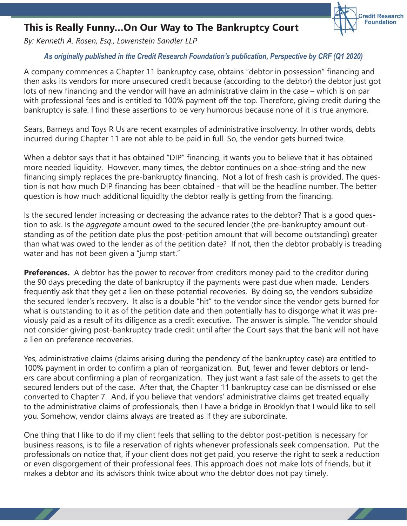## **This is Really Funny…On Our Way to The Bankruptcy Court**

*By: Kenneth A. Rosen, Esq., Lowenstein Sandler LLP*

## *As originally published in the Credit Research Foundation's publication, Perspective by CRF (Q1 2020)*

**Credit Research Foundation** 

A company commences a Chapter 11 bankruptcy case, obtains "debtor in possession" financing and then asks its vendors for more unsecured credit because (according to the debtor) the debtor just got lots of new financing and the vendor will have an administrative claim in the case – which is on par with professional fees and is entitled to 100% payment off the top. Therefore, giving credit during the bankruptcy is safe. I find these assertions to be very humorous because none of it is true anymore.

Sears, Barneys and Toys R Us are recent examples of administrative insolvency. In other words, debts incurred during Chapter 11 are not able to be paid in full. So, the vendor gets burned twice.

When a debtor says that it has obtained "DIP" financing, it wants you to believe that it has obtained more needed liquidity. However, many times, the debtor continues on a shoe-string and the new financing simply replaces the pre-bankruptcy financing. Not a lot of fresh cash is provided. The question is not how much DIP financing has been obtained - that will be the headline number. The better question is how much additional liquidity the debtor really is getting from the financing.

Is the secured lender increasing or decreasing the advance rates to the debtor? That is a good question to ask. Is the *aggregate* amount owed to the secured lender (the pre-bankruptcy amount outstanding as of the petition date plus the post-petition amount that will become outstanding) greater than what was owed to the lender as of the petition date? If not, then the debtor probably is treading water and has not been given a "jump start."

**Preferences.** A debtor has the power to recover from creditors money paid to the creditor during the 90 days preceding the date of bankruptcy if the payments were past due when made. Lenders frequently ask that they get a lien on these potential recoveries. By doing so, the vendors subsidize the secured lender's recovery. It also is a double "hit" to the vendor since the vendor gets burned for what is outstanding to it as of the petition date and then potentially has to disgorge what it was previously paid as a result of its diligence as a credit executive. The answer is simple. The vendor should not consider giving post-bankruptcy trade credit until after the Court says that the bank will not have a lien on preference recoveries.

Yes, administrative claims (claims arising during the pendency of the bankruptcy case) are entitled to 100% payment in order to confirm a plan of reorganization. But, fewer and fewer debtors or lenders care about confirming a plan of reorganization. They just want a fast sale of the assets to get the secured lenders out of the case. After that, the Chapter 11 bankruptcy case can be dismissed or else converted to Chapter 7. And, if you believe that vendors' administrative claims get treated equally to the administrative claims of professionals, then I have a bridge in Brooklyn that I would like to sell you. Somehow, vendor claims always are treated as if they are subordinate.

One thing that I like to do if my client feels that selling to the debtor post-petition is necessary for business reasons, is to file a reservation of rights whenever professionals seek compensation. Put the professionals on notice that, if your client does not get paid, you reserve the right to seek a reduction or even disgorgement of their professional fees. This approach does not make lots of friends, but it makes a debtor and its advisors think twice about who the debtor does not pay timely.